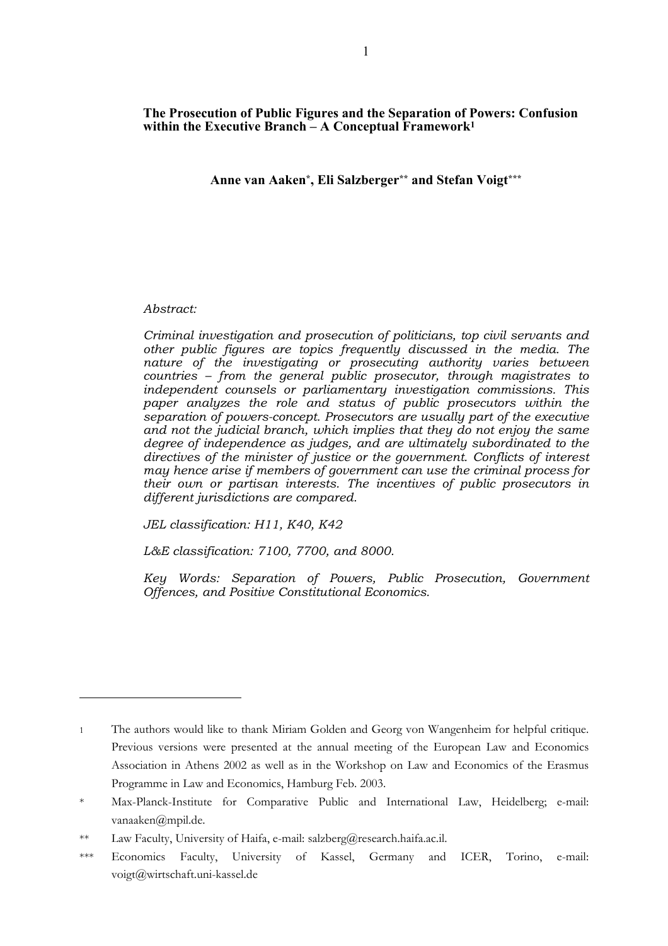### **The Prosecution of Public Figures and the Separation of Powers: Confusion within the Executive Branch – A Conceptual Framework1**

**Anne van Aaken\*, Eli Salzberger\*\* and Stefan Voigt\*\*\***

### *Abstract:*

<u>.</u>

*Criminal investigation and prosecution of politicians, top civil servants and other public figures are topics frequently discussed in the media. The nature of the investigating or prosecuting authority varies between countries – from the general public prosecutor, through magistrates to independent counsels or parliamentary investigation commissions. This*  paper analyzes the role and status of public prosecutors within the *separation of powers-concept. Prosecutors are usually part of the executive and not the judicial branch, which implies that they do not enjoy the same degree of independence as judges, and are ultimately subordinated to the directives of the minister of justice or the government. Conflicts of interest may hence arise if members of government can use the criminal process for their own or partisan interests. The incentives of public prosecutors in different jurisdictions are compared.* 

*JEL classification: H11, K40, K42* 

*L&E classification: 7100, 7700, and 8000.* 

*Key Words: Separation of Powers, Public Prosecution, Government Offences, and Positive Constitutional Economics.* 

<sup>1</sup> The authors would like to thank Miriam Golden and Georg von Wangenheim for helpful critique. Previous versions were presented at the annual meeting of the European Law and Economics Association in Athens 2002 as well as in the Workshop on Law and Economics of the Erasmus Programme in Law and Economics, Hamburg Feb. 2003.

<sup>\*</sup> Max-Planck-Institute for Comparative Public and International Law, Heidelberg; e-mail: vanaaken@mpil.de.

<sup>\*\*</sup> Law Faculty, University of Haifa, e-mail: salzberg@research.haifa.ac.il.

<sup>\*\*\*</sup> Economics Faculty, University of Kassel, Germany and ICER, Torino, e-mail: voigt@wirtschaft.uni-kassel.de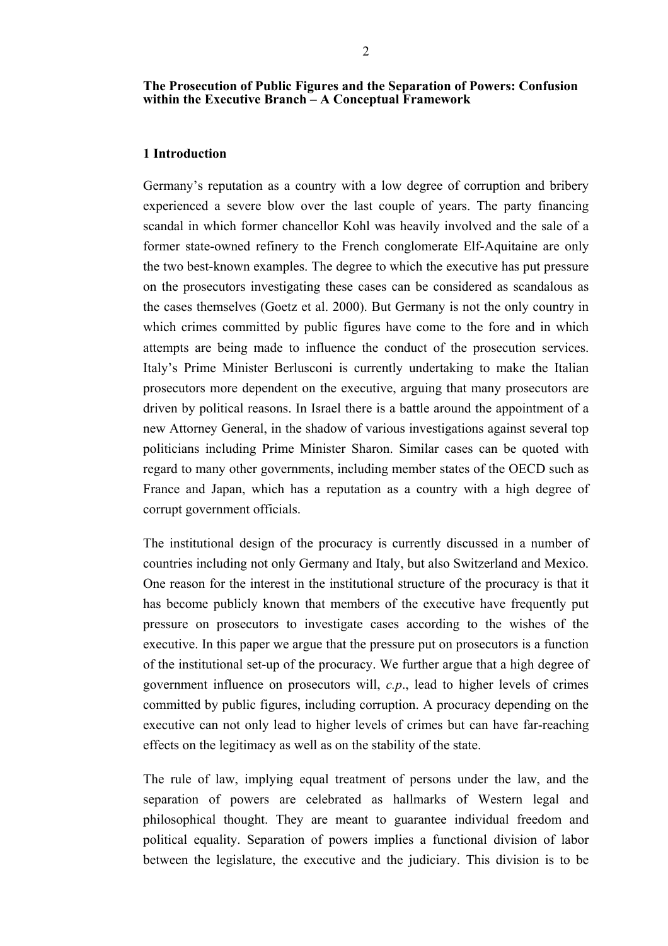### **The Prosecution of Public Figures and the Separation of Powers: Confusion within the Executive Branch – A Conceptual Framework**

### **1 Introduction**

Germany's reputation as a country with a low degree of corruption and bribery experienced a severe blow over the last couple of years. The party financing scandal in which former chancellor Kohl was heavily involved and the sale of a former state-owned refinery to the French conglomerate Elf-Aquitaine are only the two best-known examples. The degree to which the executive has put pressure on the prosecutors investigating these cases can be considered as scandalous as the cases themselves (Goetz et al. 2000). But Germany is not the only country in which crimes committed by public figures have come to the fore and in which attempts are being made to influence the conduct of the prosecution services. Italy's Prime Minister Berlusconi is currently undertaking to make the Italian prosecutors more dependent on the executive, arguing that many prosecutors are driven by political reasons. In Israel there is a battle around the appointment of a new Attorney General, in the shadow of various investigations against several top politicians including Prime Minister Sharon. Similar cases can be quoted with regard to many other governments, including member states of the OECD such as France and Japan, which has a reputation as a country with a high degree of corrupt government officials.

The institutional design of the procuracy is currently discussed in a number of countries including not only Germany and Italy, but also Switzerland and Mexico. One reason for the interest in the institutional structure of the procuracy is that it has become publicly known that members of the executive have frequently put pressure on prosecutors to investigate cases according to the wishes of the executive. In this paper we argue that the pressure put on prosecutors is a function of the institutional set-up of the procuracy. We further argue that a high degree of government influence on prosecutors will, *c.p*., lead to higher levels of crimes committed by public figures, including corruption. A procuracy depending on the executive can not only lead to higher levels of crimes but can have far-reaching effects on the legitimacy as well as on the stability of the state.

The rule of law, implying equal treatment of persons under the law, and the separation of powers are celebrated as hallmarks of Western legal and philosophical thought. They are meant to guarantee individual freedom and political equality. Separation of powers implies a functional division of labor between the legislature, the executive and the judiciary. This division is to be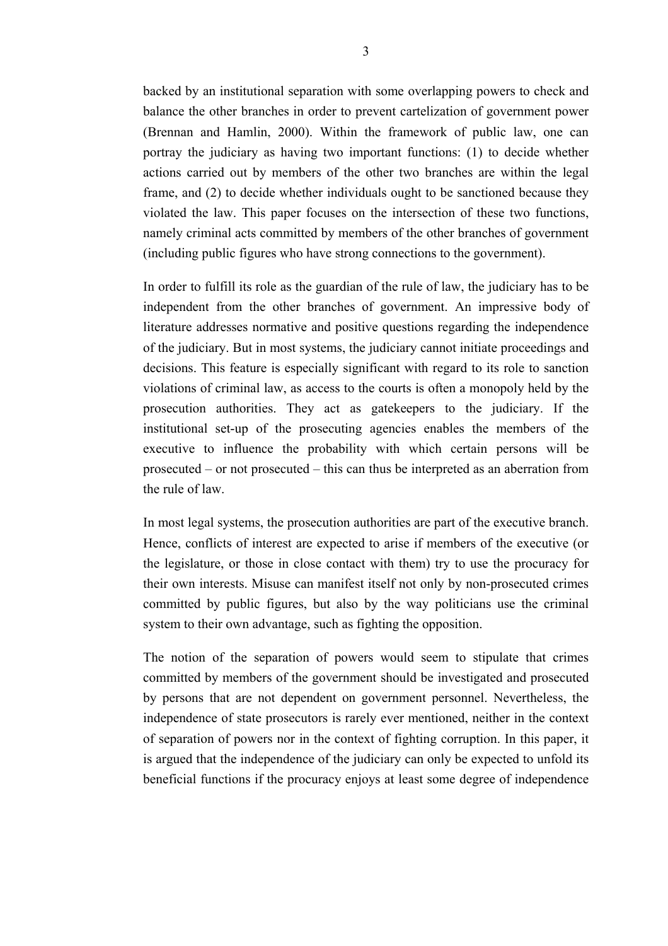backed by an institutional separation with some overlapping powers to check and balance the other branches in order to prevent cartelization of government power (Brennan and Hamlin, 2000). Within the framework of public law, one can portray the judiciary as having two important functions: (1) to decide whether actions carried out by members of the other two branches are within the legal frame, and (2) to decide whether individuals ought to be sanctioned because they violated the law. This paper focuses on the intersection of these two functions, namely criminal acts committed by members of the other branches of government (including public figures who have strong connections to the government).

In order to fulfill its role as the guardian of the rule of law, the judiciary has to be independent from the other branches of government. An impressive body of literature addresses normative and positive questions regarding the independence of the judiciary. But in most systems, the judiciary cannot initiate proceedings and decisions. This feature is especially significant with regard to its role to sanction violations of criminal law, as access to the courts is often a monopoly held by the prosecution authorities. They act as gatekeepers to the judiciary. If the institutional set-up of the prosecuting agencies enables the members of the executive to influence the probability with which certain persons will be prosecuted – or not prosecuted – this can thus be interpreted as an aberration from the rule of law.

In most legal systems, the prosecution authorities are part of the executive branch. Hence, conflicts of interest are expected to arise if members of the executive (or the legislature, or those in close contact with them) try to use the procuracy for their own interests. Misuse can manifest itself not only by non-prosecuted crimes committed by public figures, but also by the way politicians use the criminal system to their own advantage, such as fighting the opposition.

The notion of the separation of powers would seem to stipulate that crimes committed by members of the government should be investigated and prosecuted by persons that are not dependent on government personnel. Nevertheless, the independence of state prosecutors is rarely ever mentioned, neither in the context of separation of powers nor in the context of fighting corruption. In this paper, it is argued that the independence of the judiciary can only be expected to unfold its beneficial functions if the procuracy enjoys at least some degree of independence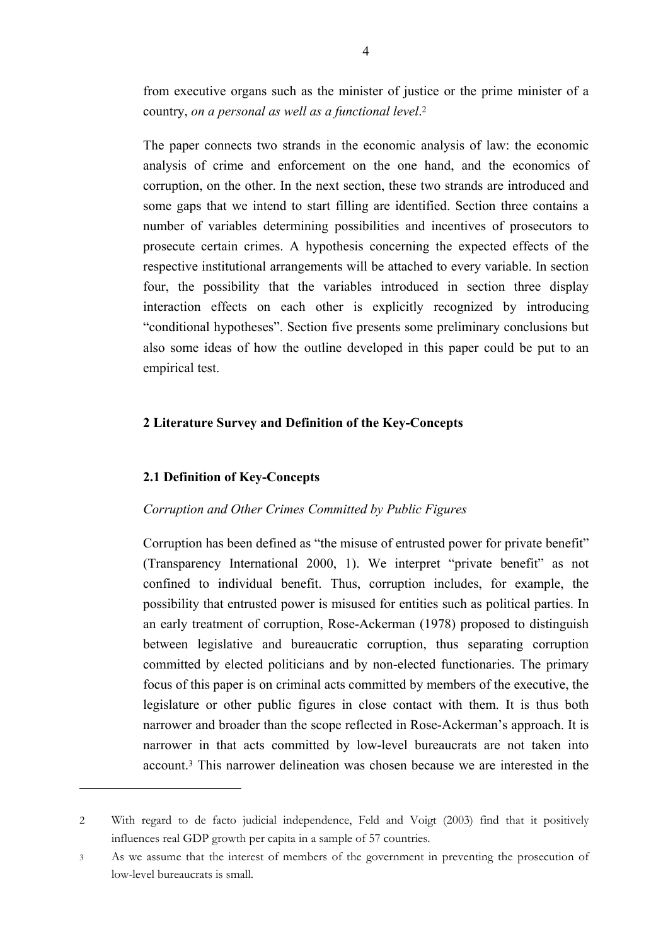from executive organs such as the minister of justice or the prime minister of a country, *on a personal as well as a functional level*. 2

The paper connects two strands in the economic analysis of law: the economic analysis of crime and enforcement on the one hand, and the economics of corruption, on the other. In the next section, these two strands are introduced and some gaps that we intend to start filling are identified. Section three contains a number of variables determining possibilities and incentives of prosecutors to prosecute certain crimes. A hypothesis concerning the expected effects of the respective institutional arrangements will be attached to every variable. In section four, the possibility that the variables introduced in section three display interaction effects on each other is explicitly recognized by introducing "conditional hypotheses". Section five presents some preliminary conclusions but also some ideas of how the outline developed in this paper could be put to an empirical test.

# **2 Literature Survey and Definition of the Key-Concepts**

# **2.1 Definition of Key-Concepts**

1

# *Corruption and Other Crimes Committed by Public Figures*

Corruption has been defined as "the misuse of entrusted power for private benefit" (Transparency International 2000, 1). We interpret "private benefit" as not confined to individual benefit. Thus, corruption includes, for example, the possibility that entrusted power is misused for entities such as political parties. In an early treatment of corruption, Rose-Ackerman (1978) proposed to distinguish between legislative and bureaucratic corruption, thus separating corruption committed by elected politicians and by non-elected functionaries. The primary focus of this paper is on criminal acts committed by members of the executive, the legislature or other public figures in close contact with them. It is thus both narrower and broader than the scope reflected in Rose-Ackerman's approach. It is narrower in that acts committed by low-level bureaucrats are not taken into account.3 This narrower delineation was chosen because we are interested in the

<sup>2</sup> With regard to de facto judicial independence, Feld and Voigt (2003) find that it positively influences real GDP growth per capita in a sample of 57 countries.

<sup>3</sup> As we assume that the interest of members of the government in preventing the prosecution of low-level bureaucrats is small.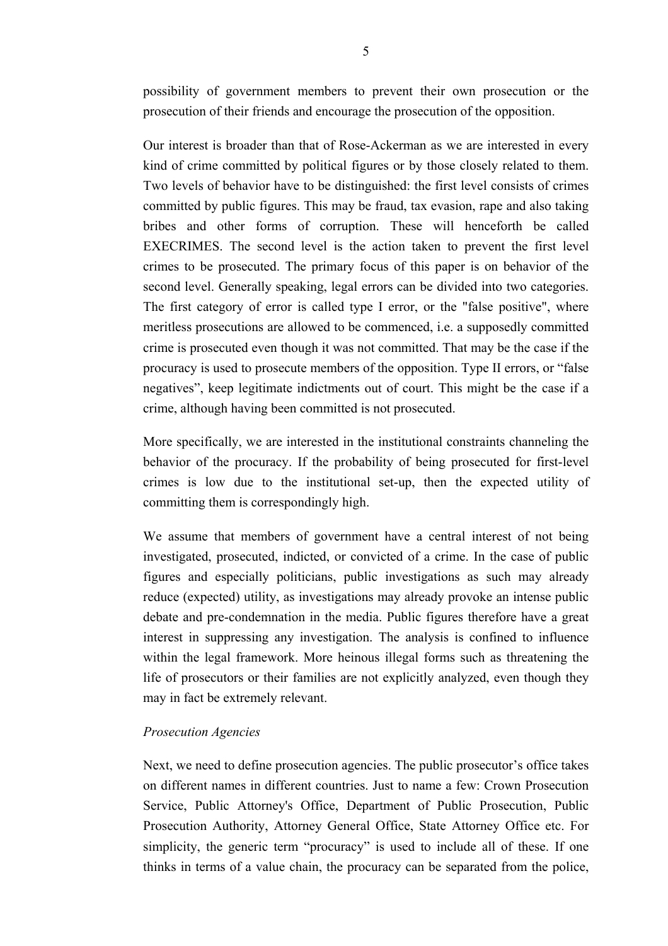possibility of government members to prevent their own prosecution or the prosecution of their friends and encourage the prosecution of the opposition.

Our interest is broader than that of Rose-Ackerman as we are interested in every kind of crime committed by political figures or by those closely related to them. Two levels of behavior have to be distinguished: the first level consists of crimes committed by public figures. This may be fraud, tax evasion, rape and also taking bribes and other forms of corruption. These will henceforth be called EXECRIMES. The second level is the action taken to prevent the first level crimes to be prosecuted. The primary focus of this paper is on behavior of the second level. Generally speaking, legal errors can be divided into two categories. The first category of error is called type I error, or the "false positive", where meritless prosecutions are allowed to be commenced, i.e. a supposedly committed crime is prosecuted even though it was not committed. That may be the case if the procuracy is used to prosecute members of the opposition. Type II errors, or "false negatives", keep legitimate indictments out of court. This might be the case if a crime, although having been committed is not prosecuted.

More specifically, we are interested in the institutional constraints channeling the behavior of the procuracy. If the probability of being prosecuted for first-level crimes is low due to the institutional set-up, then the expected utility of committing them is correspondingly high.

We assume that members of government have a central interest of not being investigated, prosecuted, indicted, or convicted of a crime. In the case of public figures and especially politicians, public investigations as such may already reduce (expected) utility, as investigations may already provoke an intense public debate and pre-condemnation in the media. Public figures therefore have a great interest in suppressing any investigation. The analysis is confined to influence within the legal framework. More heinous illegal forms such as threatening the life of prosecutors or their families are not explicitly analyzed, even though they may in fact be extremely relevant.

# *Prosecution Agencies*

Next, we need to define prosecution agencies. The public prosecutor's office takes on different names in different countries. Just to name a few: Crown Prosecution Service, Public Attorney's Office, Department of Public Prosecution, Public Prosecution Authority, Attorney General Office, State Attorney Office etc. For simplicity, the generic term "procuracy" is used to include all of these. If one thinks in terms of a value chain, the procuracy can be separated from the police,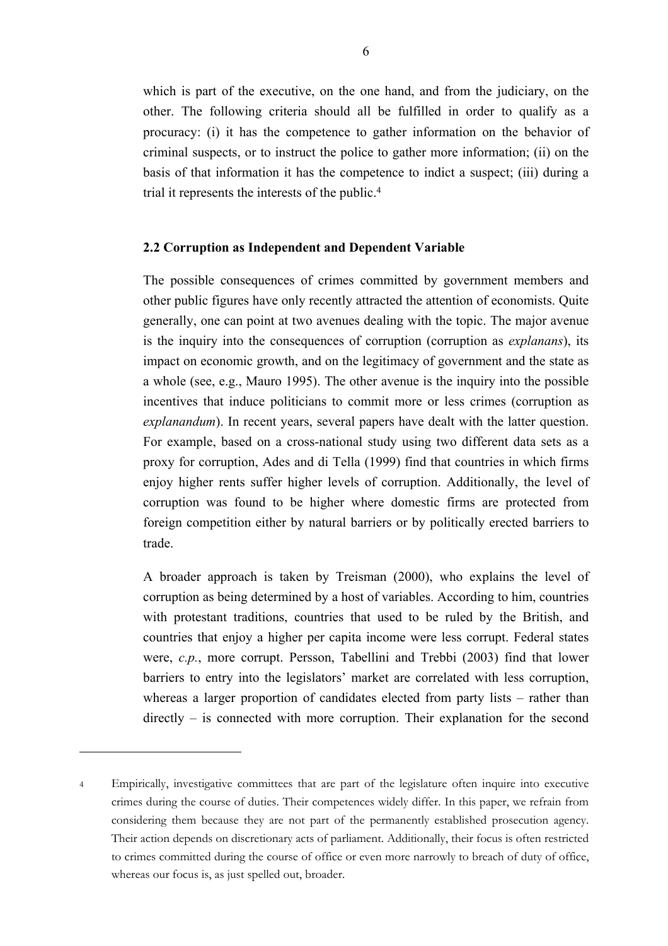which is part of the executive, on the one hand, and from the judiciary, on the other. The following criteria should all be fulfilled in order to qualify as a procuracy: (i) it has the competence to gather information on the behavior of criminal suspects, or to instruct the police to gather more information; (ii) on the basis of that information it has the competence to indict a suspect; (iii) during a trial it represents the interests of the public.4

## **2.2 Corruption as Independent and Dependent Variable**

The possible consequences of crimes committed by government members and other public figures have only recently attracted the attention of economists. Quite generally, one can point at two avenues dealing with the topic. The major avenue is the inquiry into the consequences of corruption (corruption as *explanans*), its impact on economic growth, and on the legitimacy of government and the state as a whole (see, e.g., Mauro 1995). The other avenue is the inquiry into the possible incentives that induce politicians to commit more or less crimes (corruption as *explanandum*). In recent years, several papers have dealt with the latter question. For example, based on a cross-national study using two different data sets as a proxy for corruption, Ades and di Tella (1999) find that countries in which firms enjoy higher rents suffer higher levels of corruption. Additionally, the level of corruption was found to be higher where domestic firms are protected from foreign competition either by natural barriers or by politically erected barriers to trade.

A broader approach is taken by Treisman (2000), who explains the level of corruption as being determined by a host of variables. According to him, countries with protestant traditions, countries that used to be ruled by the British, and countries that enjoy a higher per capita income were less corrupt. Federal states were, *c.p.*, more corrupt. Persson, Tabellini and Trebbi (2003) find that lower barriers to entry into the legislators' market are correlated with less corruption, whereas a larger proportion of candidates elected from party lists – rather than directly – is connected with more corruption. Their explanation for the second

<sup>4</sup> Empirically, investigative committees that are part of the legislature often inquire into executive crimes during the course of duties. Their competences widely differ. In this paper, we refrain from considering them because they are not part of the permanently established prosecution agency. Their action depends on discretionary acts of parliament. Additionally, their focus is often restricted to crimes committed during the course of office or even more narrowly to breach of duty of office, whereas our focus is, as just spelled out, broader.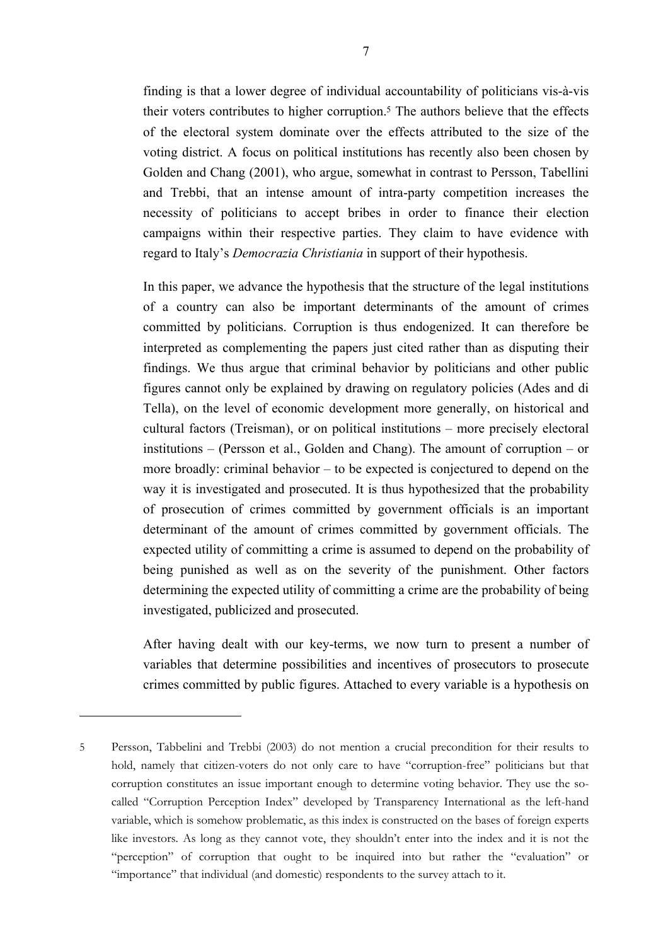finding is that a lower degree of individual accountability of politicians vis-à-vis their voters contributes to higher corruption.5 The authors believe that the effects of the electoral system dominate over the effects attributed to the size of the voting district. A focus on political institutions has recently also been chosen by Golden and Chang (2001), who argue, somewhat in contrast to Persson, Tabellini and Trebbi, that an intense amount of intra-party competition increases the necessity of politicians to accept bribes in order to finance their election campaigns within their respective parties. They claim to have evidence with regard to Italy's *Democrazia Christiania* in support of their hypothesis.

In this paper, we advance the hypothesis that the structure of the legal institutions of a country can also be important determinants of the amount of crimes committed by politicians. Corruption is thus endogenized. It can therefore be interpreted as complementing the papers just cited rather than as disputing their findings. We thus argue that criminal behavior by politicians and other public figures cannot only be explained by drawing on regulatory policies (Ades and di Tella), on the level of economic development more generally, on historical and cultural factors (Treisman), or on political institutions – more precisely electoral institutions – (Persson et al., Golden and Chang). The amount of corruption – or more broadly: criminal behavior – to be expected is conjectured to depend on the way it is investigated and prosecuted. It is thus hypothesized that the probability of prosecution of crimes committed by government officials is an important determinant of the amount of crimes committed by government officials. The expected utility of committing a crime is assumed to depend on the probability of being punished as well as on the severity of the punishment. Other factors determining the expected utility of committing a crime are the probability of being investigated, publicized and prosecuted.

After having dealt with our key-terms, we now turn to present a number of variables that determine possibilities and incentives of prosecutors to prosecute crimes committed by public figures. Attached to every variable is a hypothesis on

<sup>5</sup> Persson, Tabbelini and Trebbi (2003) do not mention a crucial precondition for their results to hold, namely that citizen-voters do not only care to have "corruption-free" politicians but that corruption constitutes an issue important enough to determine voting behavior. They use the socalled "Corruption Perception Index" developed by Transparency International as the left-hand variable, which is somehow problematic, as this index is constructed on the bases of foreign experts like investors. As long as they cannot vote, they shouldn't enter into the index and it is not the "perception" of corruption that ought to be inquired into but rather the "evaluation" or "importance" that individual (and domestic) respondents to the survey attach to it.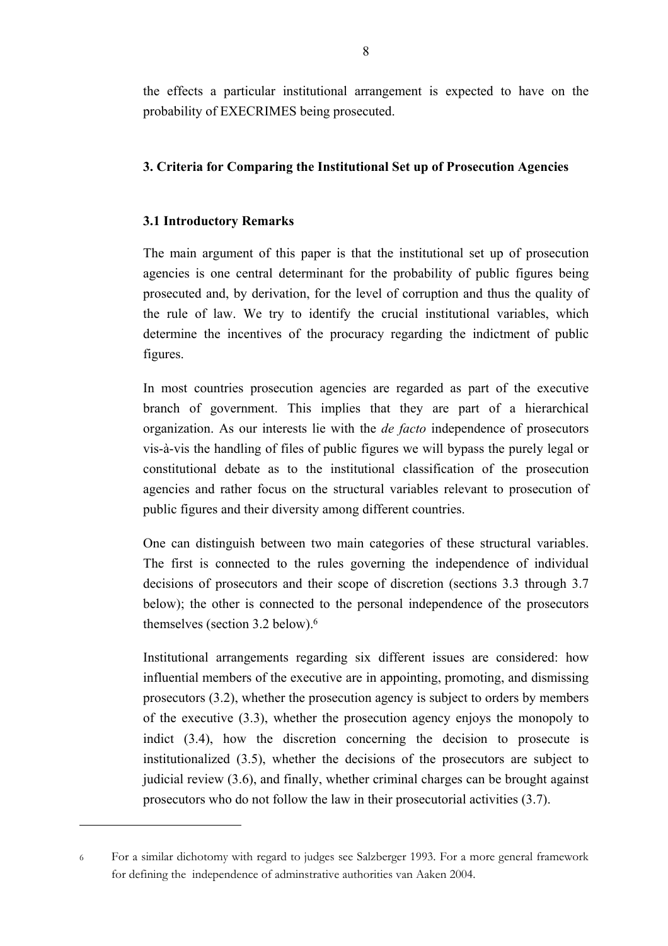the effects a particular institutional arrangement is expected to have on the probability of EXECRIMES being prosecuted.

# **3. Criteria for Comparing the Institutional Set up of Prosecution Agencies**

# **3.1 Introductory Remarks**

1

The main argument of this paper is that the institutional set up of prosecution agencies is one central determinant for the probability of public figures being prosecuted and, by derivation, for the level of corruption and thus the quality of the rule of law. We try to identify the crucial institutional variables, which determine the incentives of the procuracy regarding the indictment of public figures.

In most countries prosecution agencies are regarded as part of the executive branch of government. This implies that they are part of a hierarchical organization. As our interests lie with the *de facto* independence of prosecutors vis-à-vis the handling of files of public figures we will bypass the purely legal or constitutional debate as to the institutional classification of the prosecution agencies and rather focus on the structural variables relevant to prosecution of public figures and their diversity among different countries.

One can distinguish between two main categories of these structural variables. The first is connected to the rules governing the independence of individual decisions of prosecutors and their scope of discretion (sections 3.3 through 3.7 below); the other is connected to the personal independence of the prosecutors themselves (section 3.2 below).6

Institutional arrangements regarding six different issues are considered: how influential members of the executive are in appointing, promoting, and dismissing prosecutors (3.2), whether the prosecution agency is subject to orders by members of the executive (3.3), whether the prosecution agency enjoys the monopoly to indict (3.4), how the discretion concerning the decision to prosecute is institutionalized (3.5), whether the decisions of the prosecutors are subject to judicial review (3.6), and finally, whether criminal charges can be brought against prosecutors who do not follow the law in their prosecutorial activities (3.7).

<sup>6</sup> For a similar dichotomy with regard to judges see Salzberger 1993. For a more general framework for defining the independence of adminstrative authorities van Aaken 2004.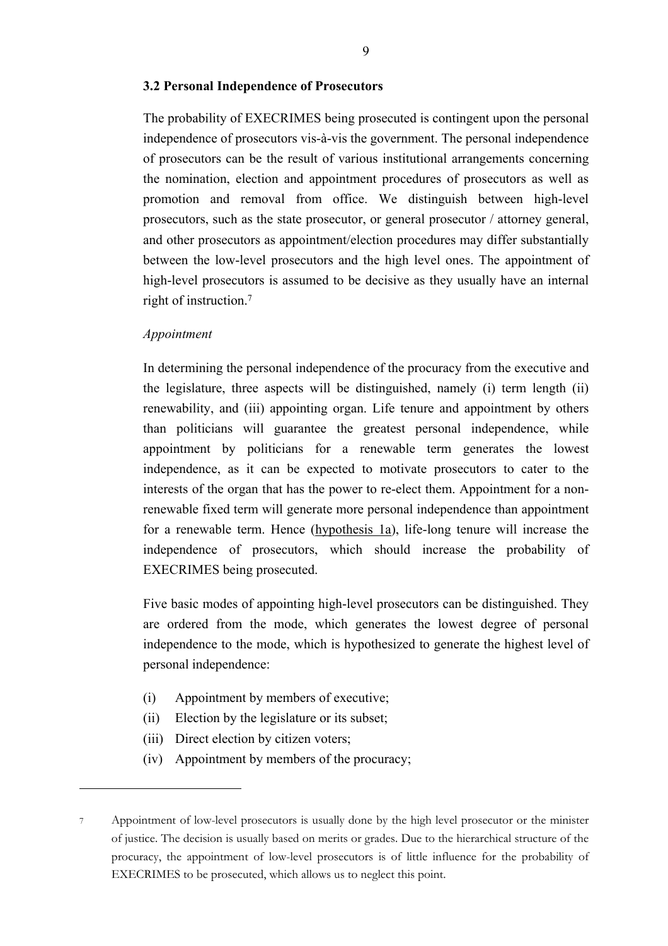### **3.2 Personal Independence of Prosecutors**

The probability of EXECRIMES being prosecuted is contingent upon the personal independence of prosecutors vis-à-vis the government. The personal independence of prosecutors can be the result of various institutional arrangements concerning the nomination, election and appointment procedures of prosecutors as well as promotion and removal from office. We distinguish between high-level prosecutors, such as the state prosecutor, or general prosecutor / attorney general, and other prosecutors as appointment/election procedures may differ substantially between the low-level prosecutors and the high level ones. The appointment of high-level prosecutors is assumed to be decisive as they usually have an internal right of instruction.7

#### *Appointment*

In determining the personal independence of the procuracy from the executive and the legislature, three aspects will be distinguished, namely (i) term length (ii) renewability, and (iii) appointing organ. Life tenure and appointment by others than politicians will guarantee the greatest personal independence, while appointment by politicians for a renewable term generates the lowest independence, as it can be expected to motivate prosecutors to cater to the interests of the organ that has the power to re-elect them. Appointment for a nonrenewable fixed term will generate more personal independence than appointment for a renewable term. Hence (hypothesis 1a), life-long tenure will increase the independence of prosecutors, which should increase the probability of EXECRIMES being prosecuted.

Five basic modes of appointing high-level prosecutors can be distinguished. They are ordered from the mode, which generates the lowest degree of personal independence to the mode, which is hypothesized to generate the highest level of personal independence:

- (i) Appointment by members of executive;
- (ii) Election by the legislature or its subset;
- (iii) Direct election by citizen voters;

1

(iv) Appointment by members of the procuracy;

<sup>7</sup> Appointment of low-level prosecutors is usually done by the high level prosecutor or the minister of justice. The decision is usually based on merits or grades. Due to the hierarchical structure of the procuracy, the appointment of low-level prosecutors is of little influence for the probability of EXECRIMES to be prosecuted, which allows us to neglect this point.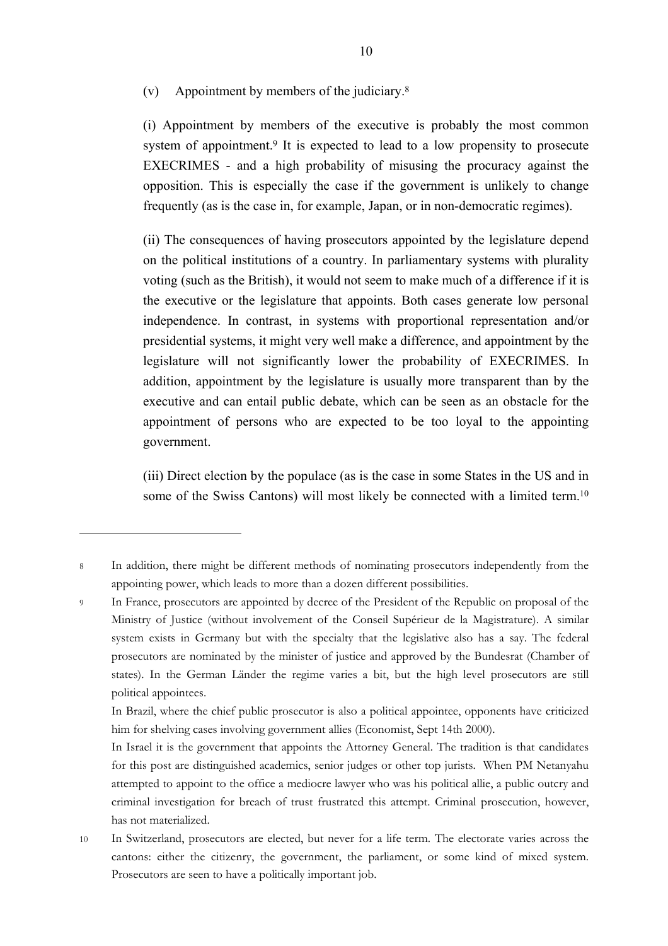## (v) Appointment by members of the judiciary.8

(i) Appointment by members of the executive is probably the most common system of appointment.<sup>9</sup> It is expected to lead to a low propensity to prosecute EXECRIMES - and a high probability of misusing the procuracy against the opposition. This is especially the case if the government is unlikely to change frequently (as is the case in, for example, Japan, or in non-democratic regimes).

(ii) The consequences of having prosecutors appointed by the legislature depend on the political institutions of a country. In parliamentary systems with plurality voting (such as the British), it would not seem to make much of a difference if it is the executive or the legislature that appoints. Both cases generate low personal independence. In contrast, in systems with proportional representation and/or presidential systems, it might very well make a difference, and appointment by the legislature will not significantly lower the probability of EXECRIMES. In addition, appointment by the legislature is usually more transparent than by the executive and can entail public debate, which can be seen as an obstacle for the appointment of persons who are expected to be too loyal to the appointing government.

(iii) Direct election by the populace (as is the case in some States in the US and in some of the Swiss Cantons) will most likely be connected with a limited term.10

<sup>8</sup> In addition, there might be different methods of nominating prosecutors independently from the appointing power, which leads to more than a dozen different possibilities.

<sup>9</sup> In France, prosecutors are appointed by decree of the President of the Republic on proposal of the Ministry of Justice (without involvement of the Conseil Supérieur de la Magistrature). A similar system exists in Germany but with the specialty that the legislative also has a say. The federal prosecutors are nominated by the minister of justice and approved by the Bundesrat (Chamber of states). In the German Länder the regime varies a bit, but the high level prosecutors are still political appointees.

In Brazil, where the chief public prosecutor is also a political appointee, opponents have criticized him for shelving cases involving government allies (Economist, Sept 14th 2000).

In Israel it is the government that appoints the Attorney General. The tradition is that candidates for this post are distinguished academics, senior judges or other top jurists. When PM Netanyahu attempted to appoint to the office a mediocre lawyer who was his political allie, a public outcry and criminal investigation for breach of trust frustrated this attempt. Criminal prosecution, however, has not materialized.

<sup>10</sup> In Switzerland, prosecutors are elected, but never for a life term. The electorate varies across the cantons: either the citizenry, the government, the parliament, or some kind of mixed system. Prosecutors are seen to have a politically important job.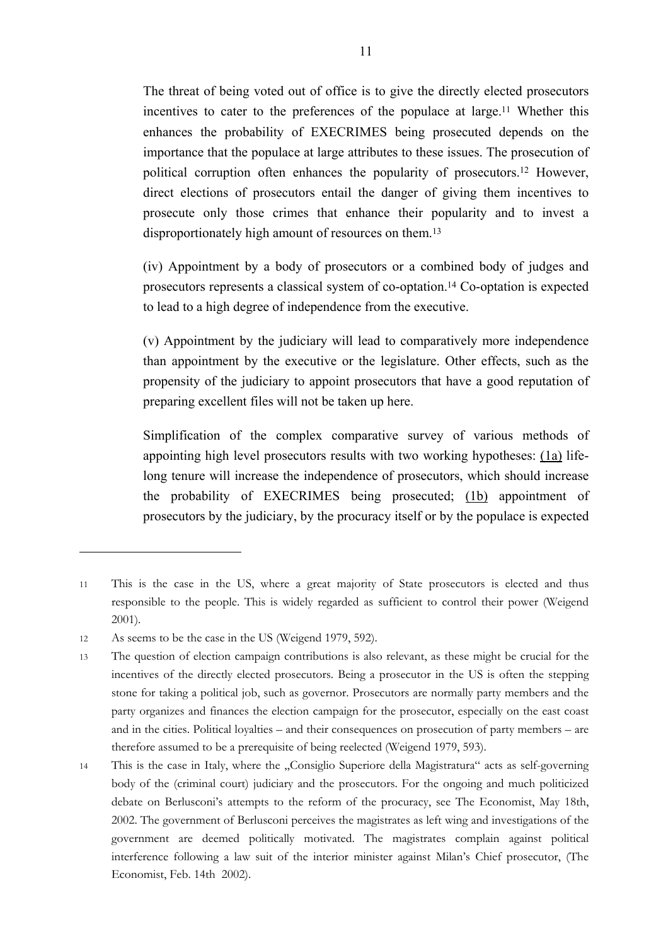The threat of being voted out of office is to give the directly elected prosecutors incentives to cater to the preferences of the populace at large.<sup>11</sup> Whether this enhances the probability of EXECRIMES being prosecuted depends on the importance that the populace at large attributes to these issues. The prosecution of political corruption often enhances the popularity of prosecutors.12 However, direct elections of prosecutors entail the danger of giving them incentives to prosecute only those crimes that enhance their popularity and to invest a disproportionately high amount of resources on them.13

(iv) Appointment by a body of prosecutors or a combined body of judges and prosecutors represents a classical system of co-optation.14 Co-optation is expected to lead to a high degree of independence from the executive.

(v) Appointment by the judiciary will lead to comparatively more independence than appointment by the executive or the legislature. Other effects, such as the propensity of the judiciary to appoint prosecutors that have a good reputation of preparing excellent files will not be taken up here.

Simplification of the complex comparative survey of various methods of appointing high level prosecutors results with two working hypotheses: (1a) lifelong tenure will increase the independence of prosecutors, which should increase the probability of EXECRIMES being prosecuted; (1b) appointment of prosecutors by the judiciary, by the procuracy itself or by the populace is expected

<sup>11</sup> This is the case in the US, where a great majority of State prosecutors is elected and thus responsible to the people. This is widely regarded as sufficient to control their power (Weigend 2001).

<sup>12</sup> As seems to be the case in the US (Weigend 1979, 592).

<sup>13</sup> The question of election campaign contributions is also relevant, as these might be crucial for the incentives of the directly elected prosecutors. Being a prosecutor in the US is often the stepping stone for taking a political job, such as governor. Prosecutors are normally party members and the party organizes and finances the election campaign for the prosecutor, especially on the east coast and in the cities. Political loyalties – and their consequences on prosecution of party members – are therefore assumed to be a prerequisite of being reelected (Weigend 1979, 593).

<sup>14</sup> This is the case in Italy, where the "Consiglio Superiore della Magistratura" acts as self-governing body of the (criminal court) judiciary and the prosecutors. For the ongoing and much politicized debate on Berlusconi's attempts to the reform of the procuracy, see The Economist, May 18th, 2002. The government of Berlusconi perceives the magistrates as left wing and investigations of the government are deemed politically motivated. The magistrates complain against political interference following a law suit of the interior minister against Milan's Chief prosecutor, (The Economist, Feb. 14th 2002).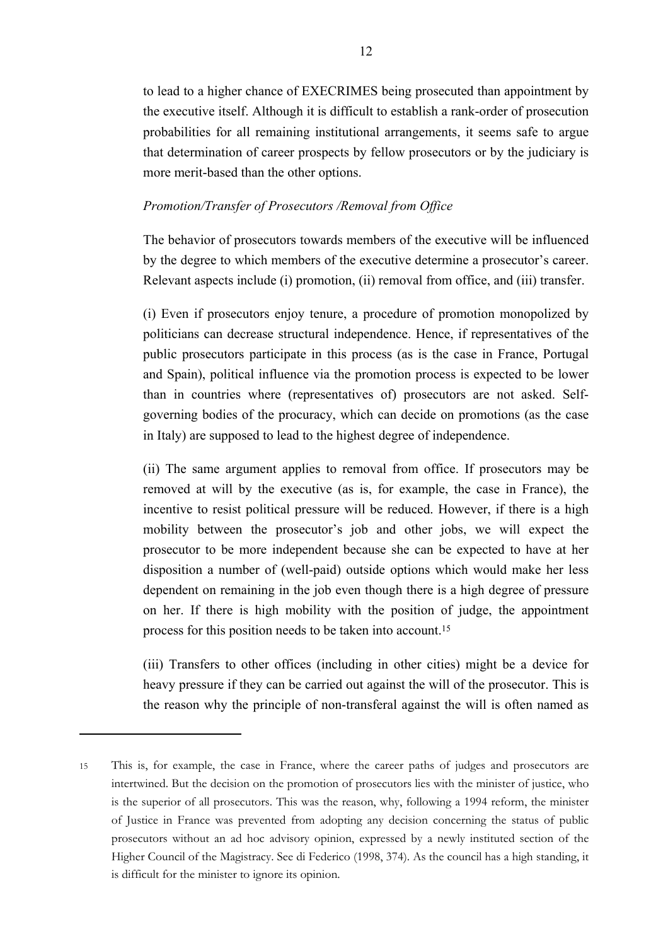to lead to a higher chance of EXECRIMES being prosecuted than appointment by the executive itself. Although it is difficult to establish a rank-order of prosecution probabilities for all remaining institutional arrangements, it seems safe to argue that determination of career prospects by fellow prosecutors or by the judiciary is more merit-based than the other options.

## *Promotion/Transfer of Prosecutors /Removal from Office*

The behavior of prosecutors towards members of the executive will be influenced by the degree to which members of the executive determine a prosecutor's career. Relevant aspects include (i) promotion, (ii) removal from office, and (iii) transfer.

(i) Even if prosecutors enjoy tenure, a procedure of promotion monopolized by politicians can decrease structural independence. Hence, if representatives of the public prosecutors participate in this process (as is the case in France, Portugal and Spain), political influence via the promotion process is expected to be lower than in countries where (representatives of) prosecutors are not asked. Selfgoverning bodies of the procuracy, which can decide on promotions (as the case in Italy) are supposed to lead to the highest degree of independence.

(ii) The same argument applies to removal from office. If prosecutors may be removed at will by the executive (as is, for example, the case in France), the incentive to resist political pressure will be reduced. However, if there is a high mobility between the prosecutor's job and other jobs, we will expect the prosecutor to be more independent because she can be expected to have at her disposition a number of (well-paid) outside options which would make her less dependent on remaining in the job even though there is a high degree of pressure on her. If there is high mobility with the position of judge, the appointment process for this position needs to be taken into account.15

(iii) Transfers to other offices (including in other cities) might be a device for heavy pressure if they can be carried out against the will of the prosecutor. This is the reason why the principle of non-transferal against the will is often named as

<sup>15</sup> This is, for example, the case in France, where the career paths of judges and prosecutors are intertwined. But the decision on the promotion of prosecutors lies with the minister of justice, who is the superior of all prosecutors. This was the reason, why, following a 1994 reform, the minister of Justice in France was prevented from adopting any decision concerning the status of public prosecutors without an ad hoc advisory opinion, expressed by a newly instituted section of the Higher Council of the Magistracy. See di Federico (1998, 374). As the council has a high standing, it is difficult for the minister to ignore its opinion.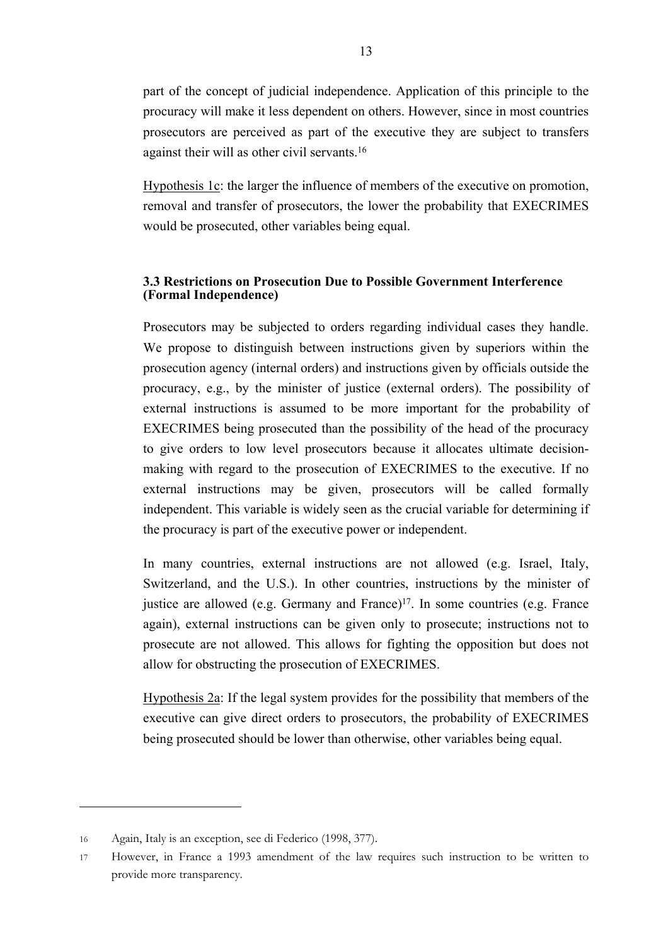part of the concept of judicial independence. Application of this principle to the procuracy will make it less dependent on others. However, since in most countries prosecutors are perceived as part of the executive they are subject to transfers against their will as other civil servants.16

Hypothesis 1c: the larger the influence of members of the executive on promotion, removal and transfer of prosecutors, the lower the probability that EXECRIMES would be prosecuted, other variables being equal.

# **3.3 Restrictions on Prosecution Due to Possible Government Interference (Formal Independence)**

Prosecutors may be subjected to orders regarding individual cases they handle. We propose to distinguish between instructions given by superiors within the prosecution agency (internal orders) and instructions given by officials outside the procuracy, e.g., by the minister of justice (external orders). The possibility of external instructions is assumed to be more important for the probability of EXECRIMES being prosecuted than the possibility of the head of the procuracy to give orders to low level prosecutors because it allocates ultimate decisionmaking with regard to the prosecution of EXECRIMES to the executive. If no external instructions may be given, prosecutors will be called formally independent. This variable is widely seen as the crucial variable for determining if the procuracy is part of the executive power or independent.

In many countries, external instructions are not allowed (e.g. Israel, Italy, Switzerland, and the U.S.). In other countries, instructions by the minister of justice are allowed (e.g. Germany and France)17. In some countries (e.g. France again), external instructions can be given only to prosecute; instructions not to prosecute are not allowed. This allows for fighting the opposition but does not allow for obstructing the prosecution of EXECRIMES.

Hypothesis 2a: If the legal system provides for the possibility that members of the executive can give direct orders to prosecutors, the probability of EXECRIMES being prosecuted should be lower than otherwise, other variables being equal.

<sup>16</sup> Again, Italy is an exception, see di Federico (1998, 377).

<sup>17</sup> However, in France a 1993 amendment of the law requires such instruction to be written to provide more transparency.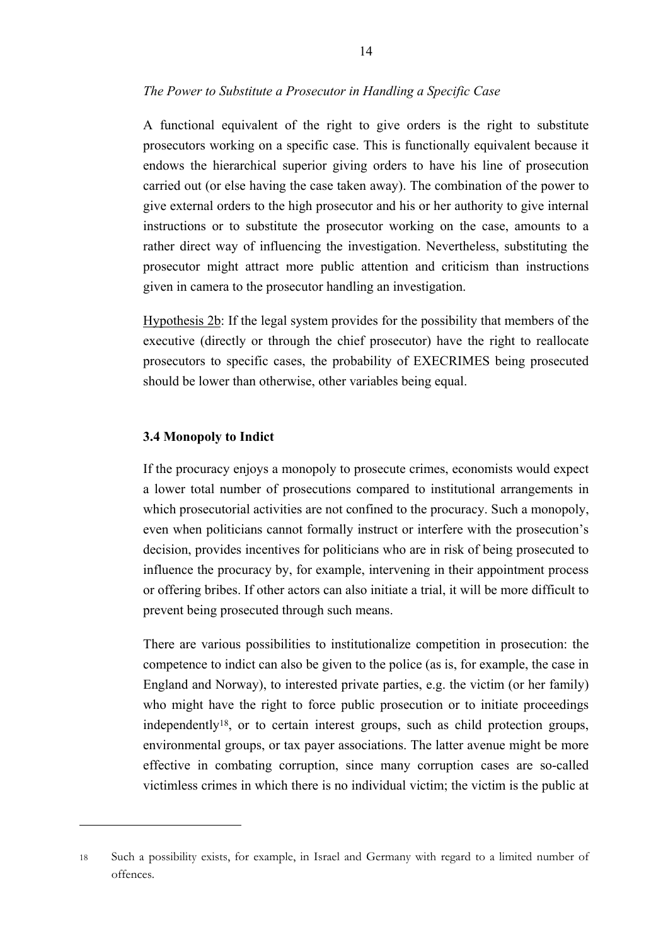## *The Power to Substitute a Prosecutor in Handling a Specific Case*

A functional equivalent of the right to give orders is the right to substitute prosecutors working on a specific case. This is functionally equivalent because it endows the hierarchical superior giving orders to have his line of prosecution carried out (or else having the case taken away). The combination of the power to give external orders to the high prosecutor and his or her authority to give internal instructions or to substitute the prosecutor working on the case, amounts to a rather direct way of influencing the investigation. Nevertheless, substituting the prosecutor might attract more public attention and criticism than instructions given in camera to the prosecutor handling an investigation.

Hypothesis 2b: If the legal system provides for the possibility that members of the executive (directly or through the chief prosecutor) have the right to reallocate prosecutors to specific cases, the probability of EXECRIMES being prosecuted should be lower than otherwise, other variables being equal.

## **3.4 Monopoly to Indict**

1

If the procuracy enjoys a monopoly to prosecute crimes, economists would expect a lower total number of prosecutions compared to institutional arrangements in which prosecutorial activities are not confined to the procuracy. Such a monopoly, even when politicians cannot formally instruct or interfere with the prosecution's decision, provides incentives for politicians who are in risk of being prosecuted to influence the procuracy by, for example, intervening in their appointment process or offering bribes. If other actors can also initiate a trial, it will be more difficult to prevent being prosecuted through such means.

There are various possibilities to institutionalize competition in prosecution: the competence to indict can also be given to the police (as is, for example, the case in England and Norway), to interested private parties, e.g. the victim (or her family) who might have the right to force public prosecution or to initiate proceedings independently18, or to certain interest groups, such as child protection groups, environmental groups, or tax payer associations. The latter avenue might be more effective in combating corruption, since many corruption cases are so-called victimless crimes in which there is no individual victim; the victim is the public at

<sup>18</sup> Such a possibility exists, for example, in Israel and Germany with regard to a limited number of offences.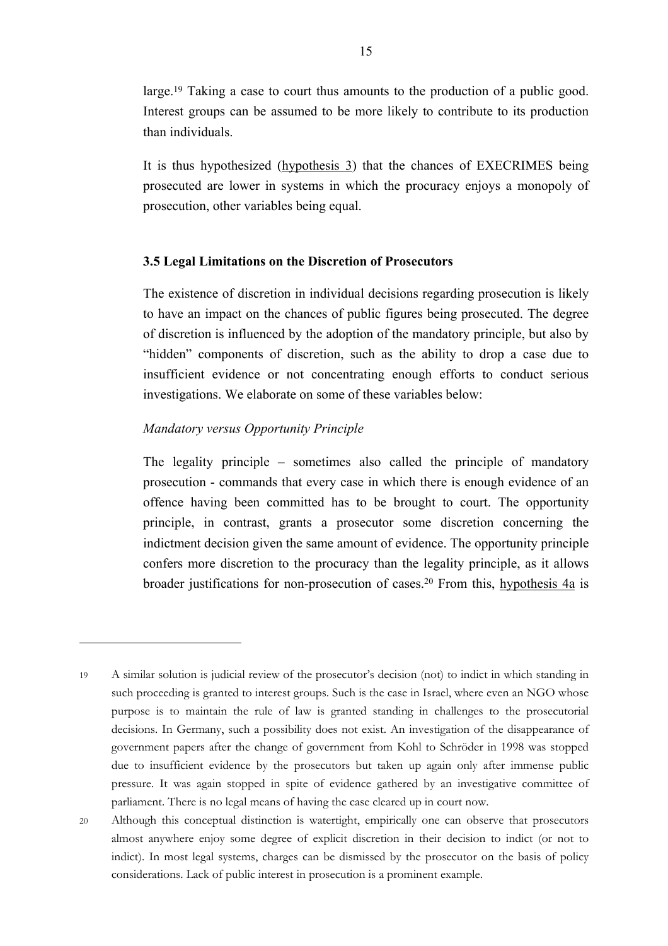large.19 Taking a case to court thus amounts to the production of a public good. Interest groups can be assumed to be more likely to contribute to its production than individuals.

It is thus hypothesized (hypothesis 3) that the chances of EXECRIMES being prosecuted are lower in systems in which the procuracy enjoys a monopoly of prosecution, other variables being equal.

## **3.5 Legal Limitations on the Discretion of Prosecutors**

The existence of discretion in individual decisions regarding prosecution is likely to have an impact on the chances of public figures being prosecuted. The degree of discretion is influenced by the adoption of the mandatory principle, but also by "hidden" components of discretion, such as the ability to drop a case due to insufficient evidence or not concentrating enough efforts to conduct serious investigations. We elaborate on some of these variables below:

## *Mandatory versus Opportunity Principle*

1

The legality principle – sometimes also called the principle of mandatory prosecution - commands that every case in which there is enough evidence of an offence having been committed has to be brought to court. The opportunity principle, in contrast, grants a prosecutor some discretion concerning the indictment decision given the same amount of evidence. The opportunity principle confers more discretion to the procuracy than the legality principle, as it allows broader justifications for non-prosecution of cases.20 From this, hypothesis 4a is

<sup>19</sup> A similar solution is judicial review of the prosecutor's decision (not) to indict in which standing in such proceeding is granted to interest groups. Such is the case in Israel, where even an NGO whose purpose is to maintain the rule of law is granted standing in challenges to the prosecutorial decisions. In Germany, such a possibility does not exist. An investigation of the disappearance of government papers after the change of government from Kohl to Schröder in 1998 was stopped due to insufficient evidence by the prosecutors but taken up again only after immense public pressure. It was again stopped in spite of evidence gathered by an investigative committee of parliament. There is no legal means of having the case cleared up in court now.

<sup>20</sup> Although this conceptual distinction is watertight, empirically one can observe that prosecutors almost anywhere enjoy some degree of explicit discretion in their decision to indict (or not to indict). In most legal systems, charges can be dismissed by the prosecutor on the basis of policy considerations. Lack of public interest in prosecution is a prominent example.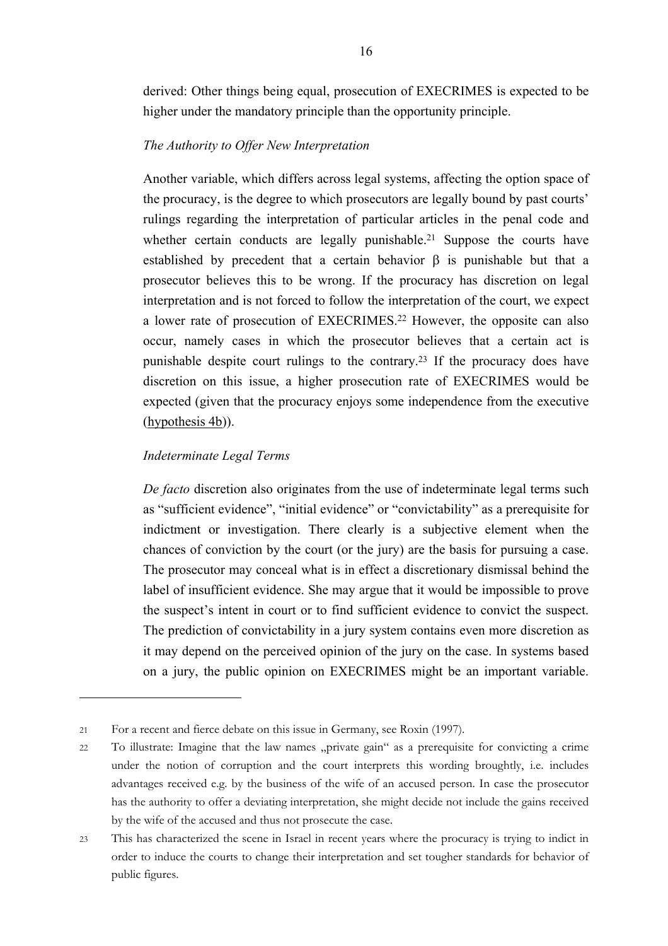derived: Other things being equal, prosecution of EXECRIMES is expected to be higher under the mandatory principle than the opportunity principle.

## *The Authority to Offer New Interpretation*

Another variable, which differs across legal systems, affecting the option space of the procuracy, is the degree to which prosecutors are legally bound by past courts' rulings regarding the interpretation of particular articles in the penal code and whether certain conducts are legally punishable.<sup>21</sup> Suppose the courts have established by precedent that a certain behavior  $\beta$  is punishable but that a prosecutor believes this to be wrong. If the procuracy has discretion on legal interpretation and is not forced to follow the interpretation of the court, we expect a lower rate of prosecution of EXECRIMES.22 However, the opposite can also occur, namely cases in which the prosecutor believes that a certain act is punishable despite court rulings to the contrary.23 If the procuracy does have discretion on this issue, a higher prosecution rate of EXECRIMES would be expected (given that the procuracy enjoys some independence from the executive (hypothesis 4b)).

# *Indeterminate Legal Terms*

<u>.</u>

*De facto* discretion also originates from the use of indeterminate legal terms such as "sufficient evidence", "initial evidence" or "convictability" as a prerequisite for indictment or investigation. There clearly is a subjective element when the chances of conviction by the court (or the jury) are the basis for pursuing a case. The prosecutor may conceal what is in effect a discretionary dismissal behind the label of insufficient evidence. She may argue that it would be impossible to prove the suspect's intent in court or to find sufficient evidence to convict the suspect. The prediction of convictability in a jury system contains even more discretion as it may depend on the perceived opinion of the jury on the case. In systems based on a jury, the public opinion on EXECRIMES might be an important variable.

<sup>21</sup> For a recent and fierce debate on this issue in Germany, see Roxin (1997).

<sup>22</sup> To illustrate: Imagine that the law names "private gain" as a prerequisite for convicting a crime under the notion of corruption and the court interprets this wording broughtly, i.e. includes advantages received e.g. by the business of the wife of an accused person. In case the prosecutor has the authority to offer a deviating interpretation, she might decide not include the gains received by the wife of the accused and thus not prosecute the case.

<sup>23</sup> This has characterized the scene in Israel in recent years where the procuracy is trying to indict in order to induce the courts to change their interpretation and set tougher standards for behavior of public figures.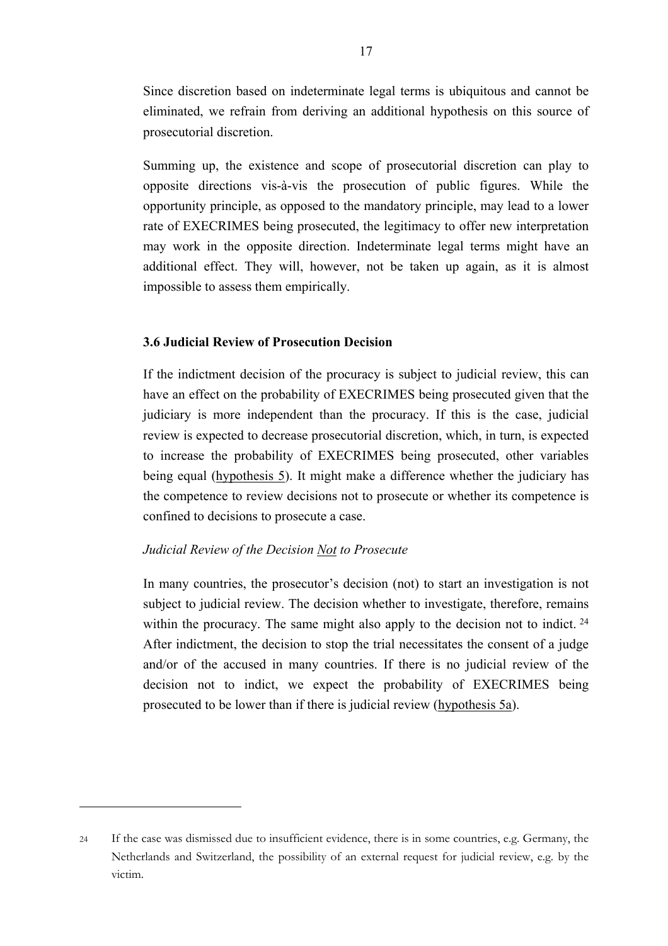Since discretion based on indeterminate legal terms is ubiquitous and cannot be eliminated, we refrain from deriving an additional hypothesis on this source of prosecutorial discretion.

Summing up, the existence and scope of prosecutorial discretion can play to opposite directions vis-à-vis the prosecution of public figures. While the opportunity principle, as opposed to the mandatory principle, may lead to a lower rate of EXECRIMES being prosecuted, the legitimacy to offer new interpretation may work in the opposite direction. Indeterminate legal terms might have an additional effect. They will, however, not be taken up again, as it is almost impossible to assess them empirically.

# **3.6 Judicial Review of Prosecution Decision**

If the indictment decision of the procuracy is subject to judicial review, this can have an effect on the probability of EXECRIMES being prosecuted given that the judiciary is more independent than the procuracy. If this is the case, judicial review is expected to decrease prosecutorial discretion, which, in turn, is expected to increase the probability of EXECRIMES being prosecuted, other variables being equal (hypothesis 5). It might make a difference whether the judiciary has the competence to review decisions not to prosecute or whether its competence is confined to decisions to prosecute a case.

## *Judicial Review of the Decision Not to Prosecute*

1

In many countries, the prosecutor's decision (not) to start an investigation is not subject to judicial review. The decision whether to investigate, therefore, remains within the procuracy. The same might also apply to the decision not to indict. <sup>24</sup> After indictment, the decision to stop the trial necessitates the consent of a judge and/or of the accused in many countries. If there is no judicial review of the decision not to indict, we expect the probability of EXECRIMES being prosecuted to be lower than if there is judicial review (hypothesis 5a).

<sup>24</sup> If the case was dismissed due to insufficient evidence, there is in some countries, e.g. Germany, the Netherlands and Switzerland, the possibility of an external request for judicial review, e.g. by the victim.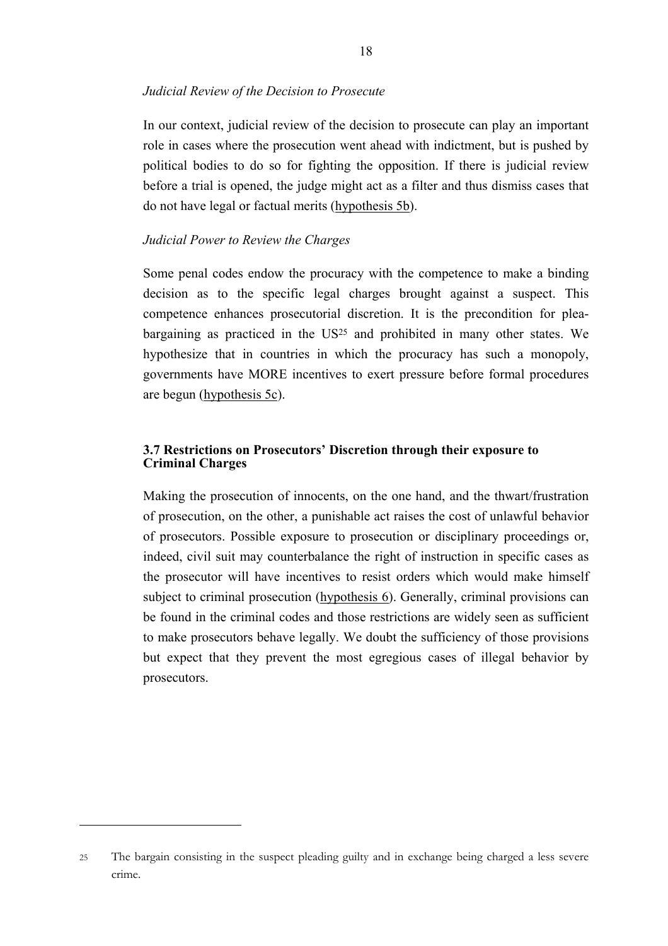## *Judicial Review of the Decision to Prosecute*

In our context, judicial review of the decision to prosecute can play an important role in cases where the prosecution went ahead with indictment, but is pushed by political bodies to do so for fighting the opposition. If there is judicial review before a trial is opened, the judge might act as a filter and thus dismiss cases that do not have legal or factual merits (hypothesis 5b).

## *Judicial Power to Review the Charges*

Some penal codes endow the procuracy with the competence to make a binding decision as to the specific legal charges brought against a suspect. This competence enhances prosecutorial discretion. It is the precondition for pleabargaining as practiced in the US25 and prohibited in many other states. We hypothesize that in countries in which the procuracy has such a monopoly, governments have MORE incentives to exert pressure before formal procedures are begun (hypothesis 5c).

## **3.7 Restrictions on Prosecutors' Discretion through their exposure to Criminal Charges**

Making the prosecution of innocents, on the one hand, and the thwart/frustration of prosecution, on the other, a punishable act raises the cost of unlawful behavior of prosecutors. Possible exposure to prosecution or disciplinary proceedings or, indeed, civil suit may counterbalance the right of instruction in specific cases as the prosecutor will have incentives to resist orders which would make himself subject to criminal prosecution (hypothesis 6). Generally, criminal provisions can be found in the criminal codes and those restrictions are widely seen as sufficient to make prosecutors behave legally. We doubt the sufficiency of those provisions but expect that they prevent the most egregious cases of illegal behavior by prosecutors.

<sup>25</sup> The bargain consisting in the suspect pleading guilty and in exchange being charged a less severe crime.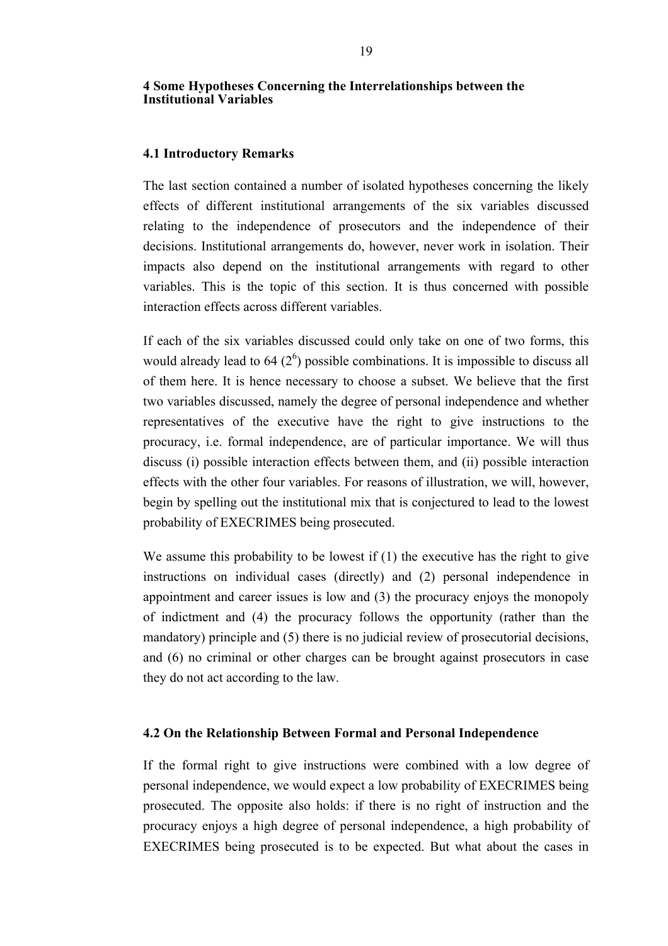## **4 Some Hypotheses Concerning the Interrelationships between the Institutional Variables**

### **4.1 Introductory Remarks**

The last section contained a number of isolated hypotheses concerning the likely effects of different institutional arrangements of the six variables discussed relating to the independence of prosecutors and the independence of their decisions. Institutional arrangements do, however, never work in isolation. Their impacts also depend on the institutional arrangements with regard to other variables. This is the topic of this section. It is thus concerned with possible interaction effects across different variables.

If each of the six variables discussed could only take on one of two forms, this would already lead to  $64 (2<sup>6</sup>)$  possible combinations. It is impossible to discuss all of them here. It is hence necessary to choose a subset. We believe that the first two variables discussed, namely the degree of personal independence and whether representatives of the executive have the right to give instructions to the procuracy, i.e. formal independence, are of particular importance. We will thus discuss (i) possible interaction effects between them, and (ii) possible interaction effects with the other four variables. For reasons of illustration, we will, however, begin by spelling out the institutional mix that is conjectured to lead to the lowest probability of EXECRIMES being prosecuted.

We assume this probability to be lowest if (1) the executive has the right to give instructions on individual cases (directly) and (2) personal independence in appointment and career issues is low and (3) the procuracy enjoys the monopoly of indictment and (4) the procuracy follows the opportunity (rather than the mandatory) principle and (5) there is no judicial review of prosecutorial decisions, and (6) no criminal or other charges can be brought against prosecutors in case they do not act according to the law.

#### **4.2 On the Relationship Between Formal and Personal Independence**

If the formal right to give instructions were combined with a low degree of personal independence, we would expect a low probability of EXECRIMES being prosecuted. The opposite also holds: if there is no right of instruction and the procuracy enjoys a high degree of personal independence, a high probability of EXECRIMES being prosecuted is to be expected. But what about the cases in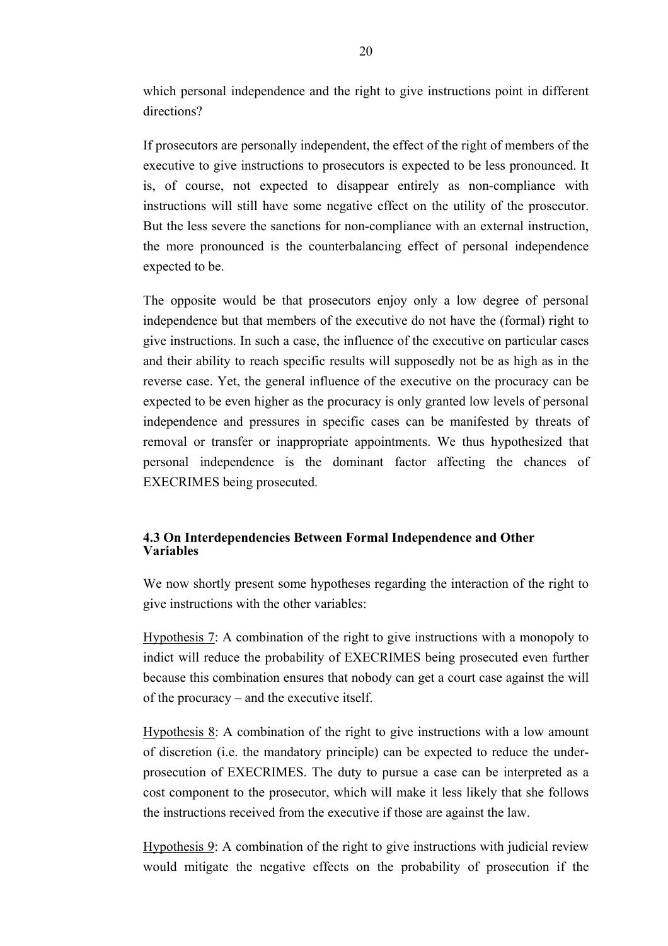which personal independence and the right to give instructions point in different directions?

If prosecutors are personally independent, the effect of the right of members of the executive to give instructions to prosecutors is expected to be less pronounced. It is, of course, not expected to disappear entirely as non-compliance with instructions will still have some negative effect on the utility of the prosecutor. But the less severe the sanctions for non-compliance with an external instruction, the more pronounced is the counterbalancing effect of personal independence expected to be.

The opposite would be that prosecutors enjoy only a low degree of personal independence but that members of the executive do not have the (formal) right to give instructions. In such a case, the influence of the executive on particular cases and their ability to reach specific results will supposedly not be as high as in the reverse case. Yet, the general influence of the executive on the procuracy can be expected to be even higher as the procuracy is only granted low levels of personal independence and pressures in specific cases can be manifested by threats of removal or transfer or inappropriate appointments. We thus hypothesized that personal independence is the dominant factor affecting the chances of EXECRIMES being prosecuted.

# **4.3 On Interdependencies Between Formal Independence and Other Variables**

We now shortly present some hypotheses regarding the interaction of the right to give instructions with the other variables:

Hypothesis 7: A combination of the right to give instructions with a monopoly to indict will reduce the probability of EXECRIMES being prosecuted even further because this combination ensures that nobody can get a court case against the will of the procuracy – and the executive itself.

Hypothesis 8: A combination of the right to give instructions with a low amount of discretion (i.e. the mandatory principle) can be expected to reduce the underprosecution of EXECRIMES. The duty to pursue a case can be interpreted as a cost component to the prosecutor, which will make it less likely that she follows the instructions received from the executive if those are against the law.

Hypothesis 9: A combination of the right to give instructions with judicial review would mitigate the negative effects on the probability of prosecution if the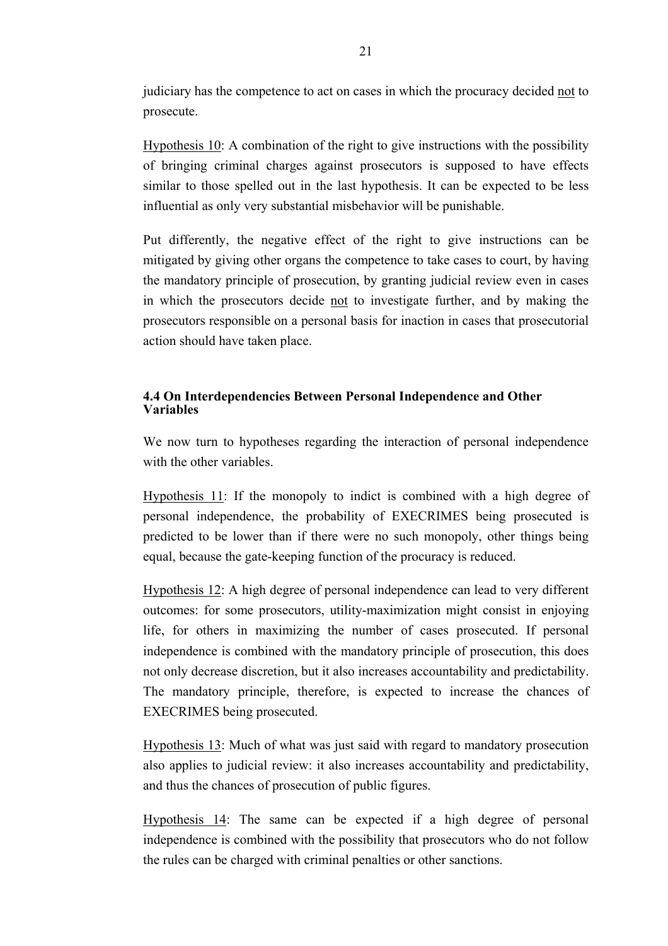judiciary has the competence to act on cases in which the procuracy decided not to prosecute.

Hypothesis 10: A combination of the right to give instructions with the possibility of bringing criminal charges against prosecutors is supposed to have effects similar to those spelled out in the last hypothesis. It can be expected to be less influential as only very substantial misbehavior will be punishable.

Put differently, the negative effect of the right to give instructions can be mitigated by giving other organs the competence to take cases to court, by having the mandatory principle of prosecution, by granting judicial review even in cases in which the prosecutors decide not to investigate further, and by making the prosecutors responsible on a personal basis for inaction in cases that prosecutorial action should have taken place.

# **4.4 On Interdependencies Between Personal Independence and Other Variables**

We now turn to hypotheses regarding the interaction of personal independence with the other variables.

Hypothesis 11: If the monopoly to indict is combined with a high degree of personal independence, the probability of EXECRIMES being prosecuted is predicted to be lower than if there were no such monopoly, other things being equal, because the gate-keeping function of the procuracy is reduced.

Hypothesis 12: A high degree of personal independence can lead to very different outcomes: for some prosecutors, utility-maximization might consist in enjoying life, for others in maximizing the number of cases prosecuted. If personal independence is combined with the mandatory principle of prosecution, this does not only decrease discretion, but it also increases accountability and predictability. The mandatory principle, therefore, is expected to increase the chances of EXECRIMES being prosecuted.

Hypothesis 13: Much of what was just said with regard to mandatory prosecution also applies to judicial review: it also increases accountability and predictability, and thus the chances of prosecution of public figures.

Hypothesis 14: The same can be expected if a high degree of personal independence is combined with the possibility that prosecutors who do not follow the rules can be charged with criminal penalties or other sanctions.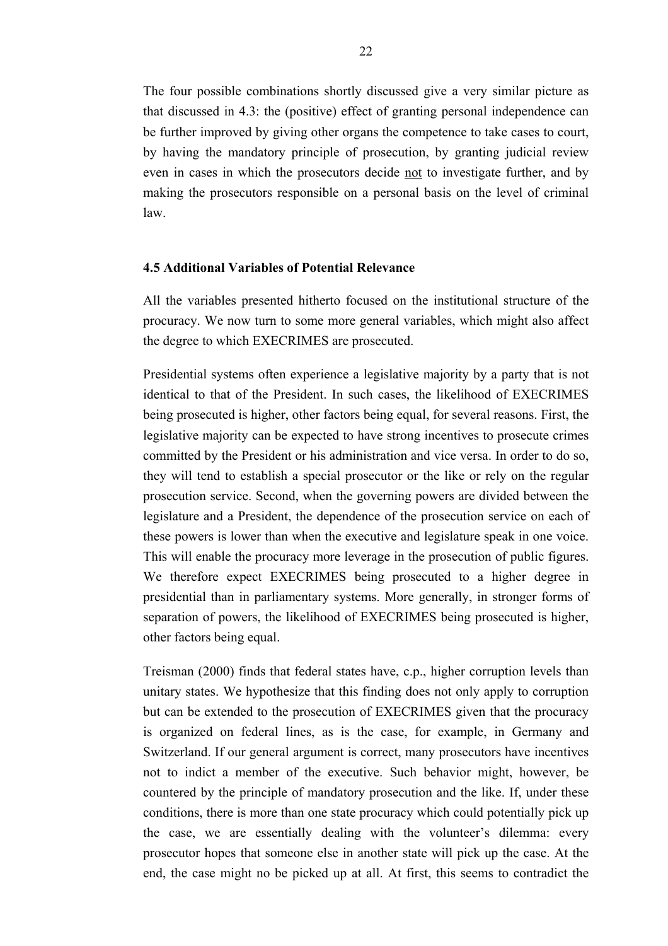The four possible combinations shortly discussed give a very similar picture as that discussed in 4.3: the (positive) effect of granting personal independence can be further improved by giving other organs the competence to take cases to court, by having the mandatory principle of prosecution, by granting judicial review even in cases in which the prosecutors decide not to investigate further, and by making the prosecutors responsible on a personal basis on the level of criminal law.

### **4.5 Additional Variables of Potential Relevance**

All the variables presented hitherto focused on the institutional structure of the procuracy. We now turn to some more general variables, which might also affect the degree to which EXECRIMES are prosecuted.

Presidential systems often experience a legislative majority by a party that is not identical to that of the President. In such cases, the likelihood of EXECRIMES being prosecuted is higher, other factors being equal, for several reasons. First, the legislative majority can be expected to have strong incentives to prosecute crimes committed by the President or his administration and vice versa. In order to do so, they will tend to establish a special prosecutor or the like or rely on the regular prosecution service. Second, when the governing powers are divided between the legislature and a President, the dependence of the prosecution service on each of these powers is lower than when the executive and legislature speak in one voice. This will enable the procuracy more leverage in the prosecution of public figures. We therefore expect EXECRIMES being prosecuted to a higher degree in presidential than in parliamentary systems. More generally, in stronger forms of separation of powers, the likelihood of EXECRIMES being prosecuted is higher, other factors being equal.

Treisman (2000) finds that federal states have, c.p., higher corruption levels than unitary states. We hypothesize that this finding does not only apply to corruption but can be extended to the prosecution of EXECRIMES given that the procuracy is organized on federal lines, as is the case, for example, in Germany and Switzerland. If our general argument is correct, many prosecutors have incentives not to indict a member of the executive. Such behavior might, however, be countered by the principle of mandatory prosecution and the like. If, under these conditions, there is more than one state procuracy which could potentially pick up the case, we are essentially dealing with the volunteer's dilemma: every prosecutor hopes that someone else in another state will pick up the case. At the end, the case might no be picked up at all. At first, this seems to contradict the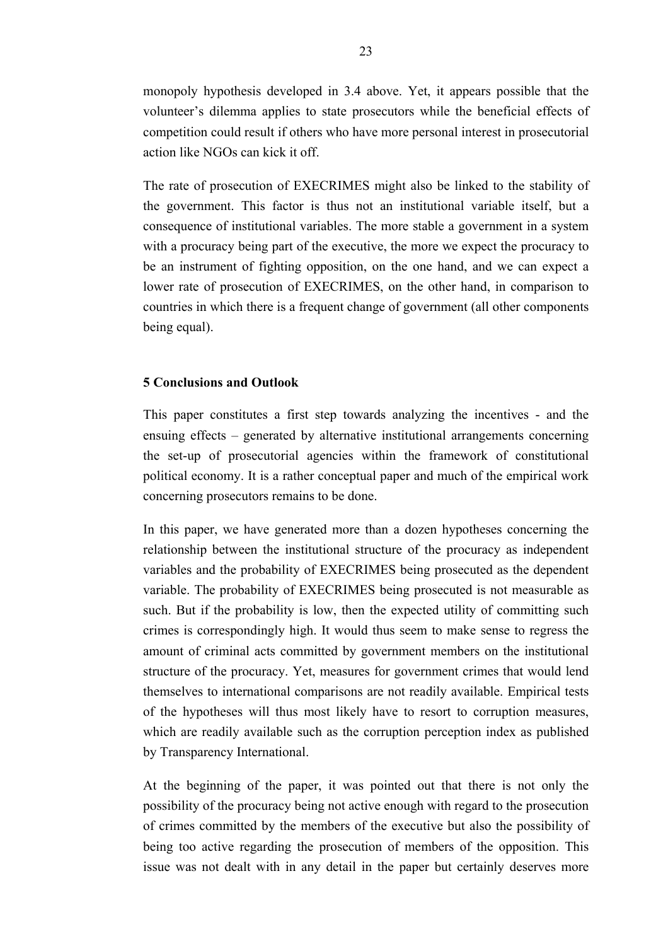monopoly hypothesis developed in 3.4 above. Yet, it appears possible that the volunteer's dilemma applies to state prosecutors while the beneficial effects of competition could result if others who have more personal interest in prosecutorial action like NGOs can kick it off.

The rate of prosecution of EXECRIMES might also be linked to the stability of the government. This factor is thus not an institutional variable itself, but a consequence of institutional variables. The more stable a government in a system with a procuracy being part of the executive, the more we expect the procuracy to be an instrument of fighting opposition, on the one hand, and we can expect a lower rate of prosecution of EXECRIMES, on the other hand, in comparison to countries in which there is a frequent change of government (all other components being equal).

## **5 Conclusions and Outlook**

This paper constitutes a first step towards analyzing the incentives - and the ensuing effects – generated by alternative institutional arrangements concerning the set-up of prosecutorial agencies within the framework of constitutional political economy. It is a rather conceptual paper and much of the empirical work concerning prosecutors remains to be done.

In this paper, we have generated more than a dozen hypotheses concerning the relationship between the institutional structure of the procuracy as independent variables and the probability of EXECRIMES being prosecuted as the dependent variable. The probability of EXECRIMES being prosecuted is not measurable as such. But if the probability is low, then the expected utility of committing such crimes is correspondingly high. It would thus seem to make sense to regress the amount of criminal acts committed by government members on the institutional structure of the procuracy. Yet, measures for government crimes that would lend themselves to international comparisons are not readily available. Empirical tests of the hypotheses will thus most likely have to resort to corruption measures, which are readily available such as the corruption perception index as published by Transparency International.

At the beginning of the paper, it was pointed out that there is not only the possibility of the procuracy being not active enough with regard to the prosecution of crimes committed by the members of the executive but also the possibility of being too active regarding the prosecution of members of the opposition. This issue was not dealt with in any detail in the paper but certainly deserves more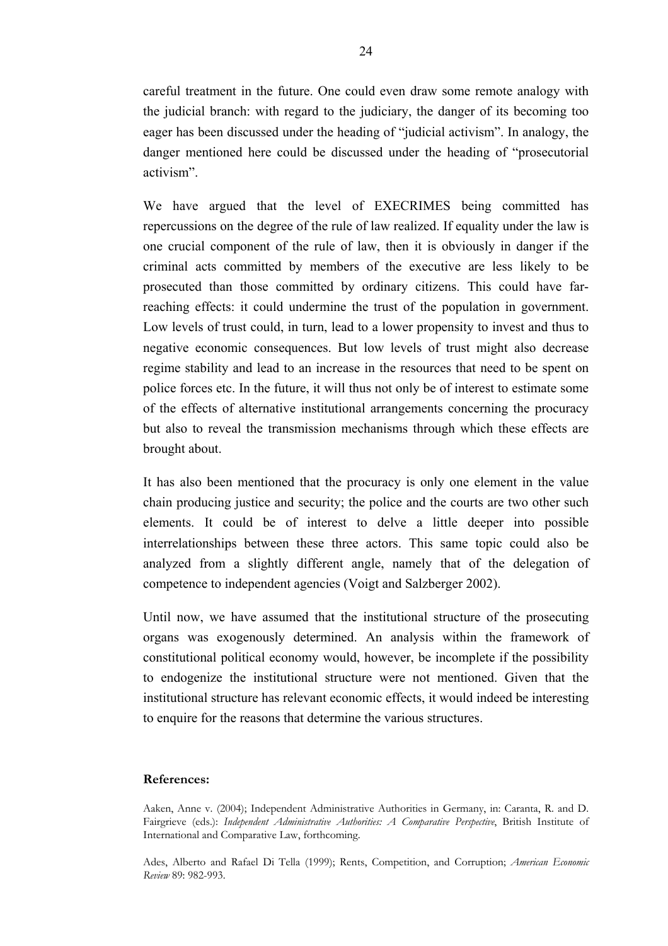careful treatment in the future. One could even draw some remote analogy with the judicial branch: with regard to the judiciary, the danger of its becoming too eager has been discussed under the heading of "judicial activism". In analogy, the danger mentioned here could be discussed under the heading of "prosecutorial activism".

We have argued that the level of EXECRIMES being committed has repercussions on the degree of the rule of law realized. If equality under the law is one crucial component of the rule of law, then it is obviously in danger if the criminal acts committed by members of the executive are less likely to be prosecuted than those committed by ordinary citizens. This could have farreaching effects: it could undermine the trust of the population in government. Low levels of trust could, in turn, lead to a lower propensity to invest and thus to negative economic consequences. But low levels of trust might also decrease regime stability and lead to an increase in the resources that need to be spent on police forces etc. In the future, it will thus not only be of interest to estimate some of the effects of alternative institutional arrangements concerning the procuracy but also to reveal the transmission mechanisms through which these effects are brought about.

It has also been mentioned that the procuracy is only one element in the value chain producing justice and security; the police and the courts are two other such elements. It could be of interest to delve a little deeper into possible interrelationships between these three actors. This same topic could also be analyzed from a slightly different angle, namely that of the delegation of competence to independent agencies (Voigt and Salzberger 2002).

Until now, we have assumed that the institutional structure of the prosecuting organs was exogenously determined. An analysis within the framework of constitutional political economy would, however, be incomplete if the possibility to endogenize the institutional structure were not mentioned. Given that the institutional structure has relevant economic effects, it would indeed be interesting to enquire for the reasons that determine the various structures.

### **References:**

Aaken, Anne v. (2004); Independent Administrative Authorities in Germany, in: Caranta, R. and D. Fairgrieve (eds.): *Independent Administrative Authorities: A Comparative Perspective*, British Institute of International and Comparative Law, forthcoming.

Ades, Alberto and Rafael Di Tella (1999); Rents, Competition, and Corruption; *American Economic Review* 89: 982-993.